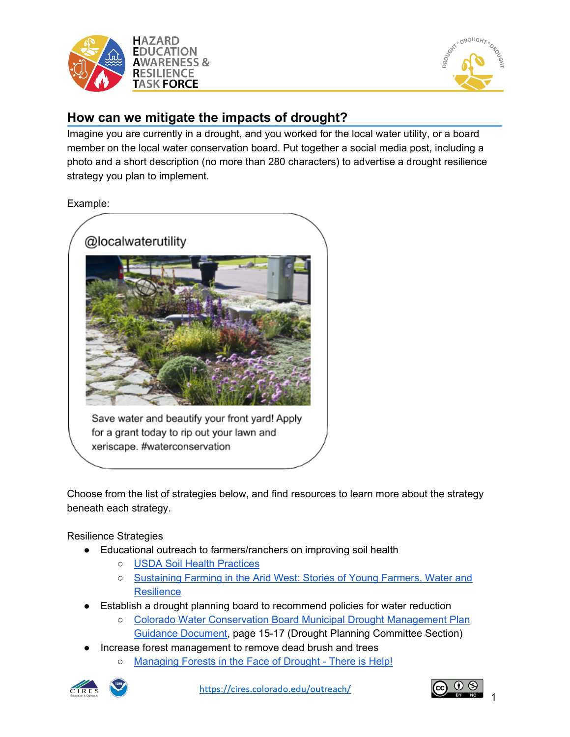



## **How can we mitigate the impacts of drought?**

Imagine you are currently in a drought, and you worked for the local water utility, or a board member on the local water conservation board. Put together a social media post, including a photo and a short description (no more than 280 characters) to advertise a drought resilience strategy you plan to implement.

Example:



Choose from the list of strategies below, and find resources to learn more about the strategy beneath each strategy.

Resilience Strategies

- Educational outreach to farmers/ranchers on improving soil health
	- USDA Soil Health [Practices](https://www.nrcs.usda.gov/Internet/FSE_DOCUMENTS/nrcseprd1318196.pdf)
	- o [Sustaining](https://www.youngfarmers.org/2014/08/sustaining-farming-in-the-arid-west-stories-of-young-farmers-water-and-resilience/) Farming in the Arid West: Stories of Young Farmers, Water and **[Resilience](https://www.youngfarmers.org/2014/08/sustaining-farming-in-the-arid-west-stories-of-young-farmers-water-and-resilience/)**
- Establish a drought planning board to recommend policies for water reduction
	- Colorado Water [Conservation](https://dnrweblink.state.co.us/cwcbsearch/ElectronicFile.aspx?docid=211769&dbid=0) Board Municipal Drought Management Plan Guidance [Document](https://dnrweblink.state.co.us/cwcbsearch/ElectronicFile.aspx?docid=211769&dbid=0), page 15-17 (Drought Planning Committee Section)
- Increase forest management to remove dead brush and trees
	- [Managing](https://www.usda.gov/media/blog/2016/03/10/managing-forests-face-drought-there-help) Forests in the Face of Drought There is Help!